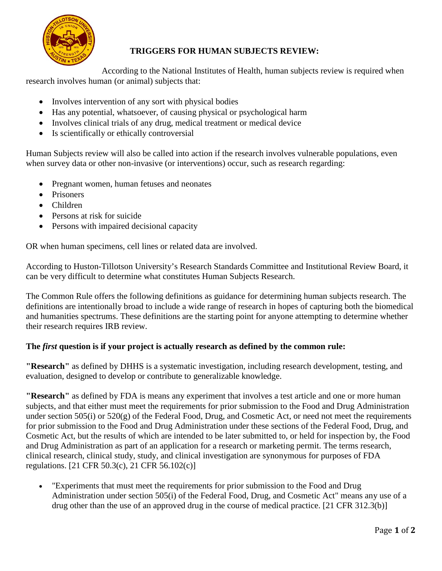

## **TRIGGERS FOR HUMAN SUBJECTS REVIEW:**

According to the National Institutes of Health, human subjects review is required when research involves human (or animal) subjects that:

- Involves intervention of any sort with physical bodies
- Has any potential, whatsoever, of causing physical or psychological harm
- Involves clinical trials of any drug, medical treatment or medical device
- Is scientifically or ethically controversial

Human Subjects review will also be called into action if the research involves vulnerable populations, even when survey data or other non-invasive (or interventions) occur, such as research regarding:

- Pregnant women, human fetuses and neonates
- Prisoners
- Children
- Persons at risk for suicide
- Persons with impaired decisional capacity

OR when human specimens, cell lines or related data are involved.

According to Huston-Tillotson University's Research Standards Committee and Institutional Review Board, it can be very difficult to determine what constitutes Human Subjects Research.

The Common Rule offers the following definitions as guidance for determining human subjects research. The definitions are intentionally broad to include a wide range of research in hopes of capturing both the biomedical and humanities spectrums. These definitions are the starting point for anyone attempting to determine whether their research requires IRB review.

## **The** *first* **question is if your project is actually research as defined by the common rule:**

**"Research"** as defined by DHHS is a systematic investigation, including research development, testing, and evaluation, designed to develop or contribute to generalizable knowledge.

**"Research"** as defined by FDA is means any experiment that involves a test article and one or more human subjects, and that either must meet the requirements for prior submission to the Food and Drug Administration under section 505(i) or 520(g) of the Federal Food, Drug, and Cosmetic Act, or need not meet the requirements for prior submission to the Food and Drug Administration under these sections of the Federal Food, Drug, and Cosmetic Act, but the results of which are intended to be later submitted to, or held for inspection by, the Food and Drug Administration as part of an application for a research or marketing permit. The terms research, clinical research, clinical study, study, and clinical investigation are synonymous for purposes of FDA regulations. [21 CFR 50.3(c), 21 CFR 56.102(c)]

• "Experiments that must meet the requirements for prior submission to the Food and Drug Administration under section 505(i) of the Federal Food, Drug, and Cosmetic Act" means any use of a drug other than the use of an approved drug in the course of medical practice. [21 CFR 312.3(b)]